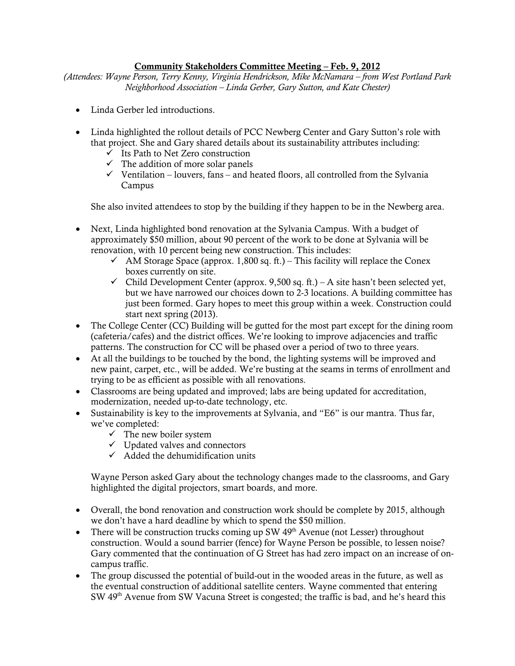## Community Stakeholders Committee Meeting – Feb. 9, 2012

*(Attendees: Wayne Person, Terry Kenny, Virginia Hendrickson, Mike McNamara – from West Portland Park Neighborhood Association – Linda Gerber, Gary Sutton, and Kate Chester)*

- Linda Gerber led introductions.
- Linda highlighted the rollout details of PCC Newberg Center and Gary Sutton's role with that project. She and Gary shared details about its sustainability attributes including:
	- $\checkmark$  Its Path to Net Zero construction
	- $\checkmark$  The addition of more solar panels
	- $\checkmark$  Ventilation louvers, fans and heated floors, all controlled from the Sylvania Campus

She also invited attendees to stop by the building if they happen to be in the Newberg area.

- Next, Linda highlighted bond renovation at the Sylvania Campus. With a budget of approximately \$50 million, about 90 percent of the work to be done at Sylvania will be renovation, with 10 percent being new construction. This includes:
	- $\checkmark$  AM Storage Space (approx. 1,800 sq. ft.) This facility will replace the Conex boxes currently on site.
	- $\checkmark$  Child Development Center (approx. 9,500 sq. ft.) A site hasn't been selected yet, but we have narrowed our choices down to 2-3 locations. A building committee has just been formed. Gary hopes to meet this group within a week. Construction could start next spring (2013).
- The College Center (CC) Building will be gutted for the most part except for the dining room (cafeteria/cafes) and the district offices. We're looking to improve adjacencies and traffic patterns. The construction for CC will be phased over a period of two to three years.
- At all the buildings to be touched by the bond, the lighting systems will be improved and new paint, carpet, etc., will be added. We're busting at the seams in terms of enrollment and trying to be as efficient as possible with all renovations.
- Classrooms are being updated and improved; labs are being updated for accreditation, modernization, needed up-to-date technology, etc.
- Sustainability is key to the improvements at Sylvania, and "E6" is our mantra. Thus far, we've completed:
	- $\checkmark$  The new boiler system
	- $\checkmark$  Updated valves and connectors
	- $\checkmark$  Added the dehumidification units

Wayne Person asked Gary about the technology changes made to the classrooms, and Gary highlighted the digital projectors, smart boards, and more.

- Overall, the bond renovation and construction work should be complete by 2015, although we don't have a hard deadline by which to spend the \$50 million.
- There will be construction trucks coming up SW  $49<sup>th</sup>$  Avenue (not Lesser) throughout construction. Would a sound barrier (fence) for Wayne Person be possible, to lessen noise? Gary commented that the continuation of G Street has had zero impact on an increase of oncampus traffic.
- The group discussed the potential of build-out in the wooded areas in the future, as well as the eventual construction of additional satellite centers. Wayne commented that entering SW 49<sup>th</sup> Avenue from SW Vacuna Street is congested; the traffic is bad, and he's heard this